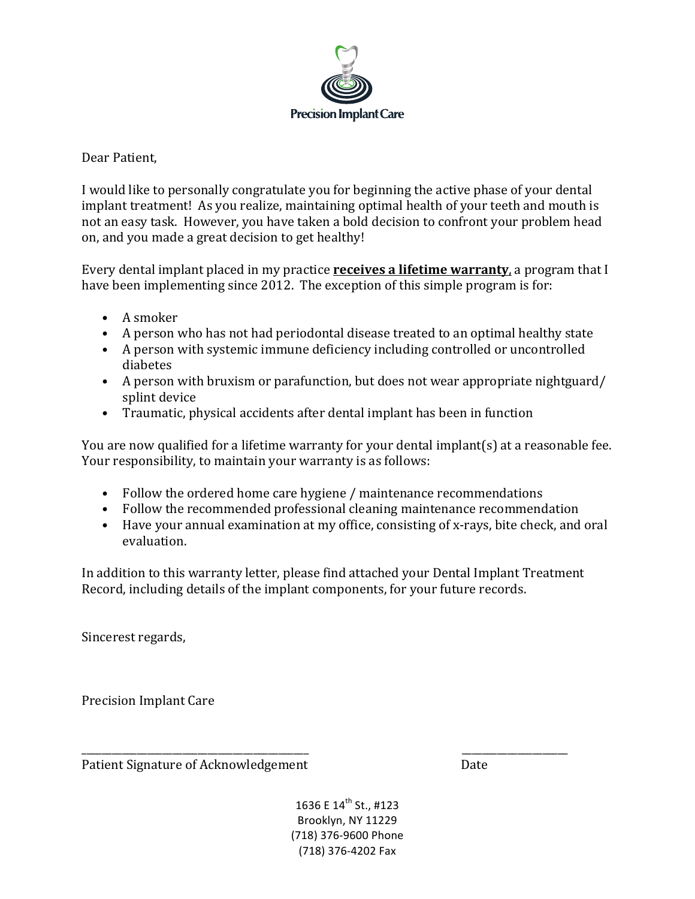

## Dear Patient.

I would like to personally congratulate you for beginning the active phase of your dental implant treatment! As you realize, maintaining optimal health of your teeth and mouth is not an easy task. However, you have taken a bold decision to confront your problem head on, and you made a great decision to get healthy!

Every dental implant placed in my practice **receives a lifetime warranty**, a program that I have been implementing since 2012. The exception of this simple program is for:

- A smoker
- A person who has not had periodontal disease treated to an optimal healthy state
- A person with systemic immune deficiency including controlled or uncontrolled diabetes
- A person with bruxism or parafunction, but does not wear appropriate nightguard/ splint device
- Traumatic, physical accidents after dental implant has been in function

You are now qualified for a lifetime warranty for your dental implant(s) at a reasonable fee. Your responsibility, to maintain your warranty is as follows:

- Follow the ordered home care hygiene / maintenance recommendations
- Follow the recommended professional cleaning maintenance recommendation
- Have your annual examination at my office, consisting of x-rays, bite check, and oral evaluation.

In addition to this warranty letter, please find attached your Dental Implant Treatment Record, including details of the implant components, for your future records.

Sincerest regards,

Precision Implant Care

Patient Signature of Acknowledgement Date 

\_\_\_\_\_\_\_\_\_\_\_\_\_\_\_\_\_\_\_\_\_\_\_\_\_\_\_\_\_\_\_\_\_\_\_\_\_\_\_\_\_\_\_\_\_ \_\_\_\_\_\_\_\_\_\_\_\_\_\_\_\_\_\_\_\_\_

1636 E 14<sup>th</sup> St., #123 Brooklyn, NY 11229 (718) 376-9600 Phone (718) 376-4202 Fax